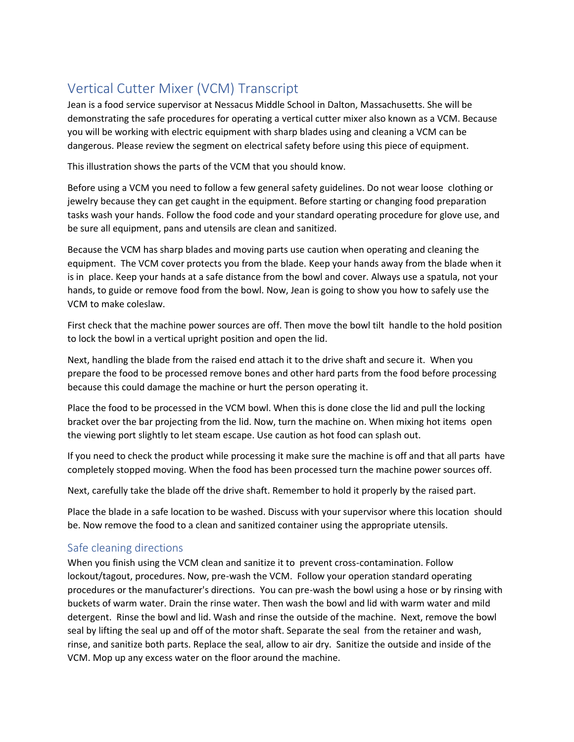## Vertical Cutter Mixer (VCM) Transcript

Jean is a food service supervisor at Nessacus Middle School in Dalton, Massachusetts. She will be demonstrating the safe procedures for operating a vertical cutter mixer also known as a VCM. Because you will be working with electric equipment with sharp blades using and cleaning a VCM can be dangerous. Please review the segment on electrical safety before using this piece of equipment.

This illustration shows the parts of the VCM that you should know.

Before using a VCM you need to follow a few general safety guidelines. Do not wear loose clothing or jewelry because they can get caught in the equipment. Before starting or changing food preparation tasks wash your hands. Follow the food code and your standard operating procedure for glove use, and be sure all equipment, pans and utensils are clean and sanitized.

Because the VCM has sharp blades and moving parts use caution when operating and cleaning the equipment. The VCM cover protects you from the blade. Keep your hands away from the blade when it is in place. Keep your hands at a safe distance from the bowl and cover. Always use a spatula, not your hands, to guide or remove food from the bowl. Now, Jean is going to show you how to safely use the VCM to make coleslaw.

First check that the machine power sources are off. Then move the bowl tilt handle to the hold position to lock the bowl in a vertical upright position and open the lid.

Next, handling the blade from the raised end attach it to the drive shaft and secure it. When you prepare the food to be processed remove bones and other hard parts from the food before processing because this could damage the machine or hurt the person operating it.

Place the food to be processed in the VCM bowl. When this is done close the lid and pull the locking bracket over the bar projecting from the lid. Now, turn the machine on. When mixing hot items open the viewing port slightly to let steam escape. Use caution as hot food can splash out.

If you need to check the product while processing it make sure the machine is off and that all parts have completely stopped moving. When the food has been processed turn the machine power sources off.

Next, carefully take the blade off the drive shaft. Remember to hold it properly by the raised part.

Place the blade in a safe location to be washed. Discuss with your supervisor where this location should be. Now remove the food to a clean and sanitized container using the appropriate utensils.

## Safe cleaning directions

When you finish using the VCM clean and sanitize it to prevent cross-contamination. Follow lockout/tagout, procedures. Now, pre-wash the VCM. Follow your operation standard operating procedures or the manufacturer's directions. You can pre-wash the bowl using a hose or by rinsing with buckets of warm water. Drain the rinse water. Then wash the bowl and lid with warm water and mild detergent. Rinse the bowl and lid. Wash and rinse the outside of the machine. Next, remove the bowl seal by lifting the seal up and off of the motor shaft. Separate the seal from the retainer and wash, rinse, and sanitize both parts. Replace the seal, allow to air dry. Sanitize the outside and inside of the VCM. Mop up any excess water on the floor around the machine.